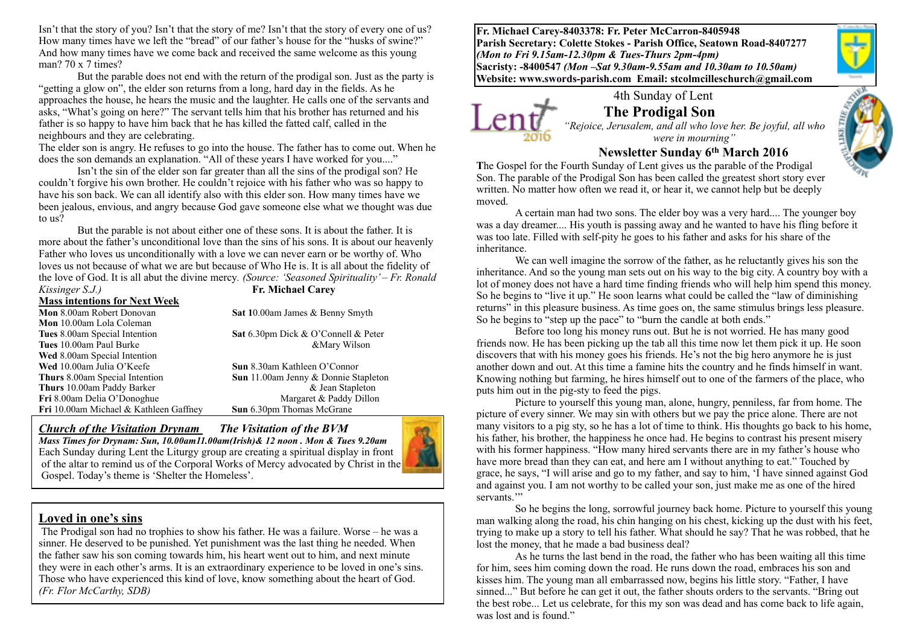Isn't that the story of you? Isn't that the story of me? Isn't that the story of every one of us? How many times have we left the "bread" of our father's house for the "husks of swine?" And how many times have we come back and received the same welcome as this young man? 70 x 7 times?

But the parable does not end with the return of the prodigal son. Just as the party is "getting a glow on", the elder son returns from a long, hard day in the fields. As he approaches the house, he hears the music and the laughter. He calls one of the servants and asks, "What's going on here?" The servant tells him that his brother has returned and his father is so happy to have him back that he has killed the fatted calf, called in the neighbours and they are celebrating.

The elder son is angry. He refuses to go into the house. The father has to come out. When he does the son demands an explanation. "All of these years I have worked for you...."

Isn't the sin of the elder son far greater than all the sins of the prodigal son? He couldn't forgive his own brother. He couldn't rejoice with his father who was so happy to have his son back. We can all identify also with this elder son. How many times have we been jealous, envious, and angry because God gave someone else what we thought was due to us?

But the parable is not about either one of these sons. It is about the father. It is more about the father's unconditional love than the sins of his sons. It is about our heavenly Father who loves us unconditionally with a love we can never earn or be worthy of. Who loves us not because of what we are but because of Who He is. It is all about the fidelity of the love of God. It is all abut the divine mercy*. (Source: 'Seasoned Spirituality' – Fr. Ronald* 

*Kissinger S.J.)* **Fr. Michael Carey**

#### **Mass intentions for Next Week Mon** 8.00am Robert Donovan **Sat 1**0.00am James & Benny Smyth **Mon** 10.00am Lola Coleman **Tues** 8.00am Special Intention **Sat** 6.30pm Dick & O'Connell & Peter **Tues** 10.00am Paul Burke **&Mary Wilson Wed** 8.00am Special Intention **Wed** 10.00am Julia O'Keefe **Sun** 8.30am Kathleen O'Connor **Thurs** 8.00am Special Intention **Sun** 11.00am Jenny & Donnie Stapleton **Thurs** 10.00am Paddy Barker **by Community 10.00am** Paddy Barker **& Jean** Stapleton **Fri** 8.00am Delia O'Donoghue Margaret & Paddy Dillon **Fri** 10.00am Michael & Kathleen Gaffney **Sun** 6.30pm Thomas McGrane

#### *Church of the Visitation Drynam**The Visitation of the BVM*

*Mass Times for Drynam: Sun, 10.00am11.00am(Irish)& 12 noon . Mon & Tues 9.20am*  Each Sunday during Lent the Liturgy group are creating a spiritual display in front of the altar to remind us of the Corporal Works of Mercy advocated by Christ in the Gospel. Today's theme is 'Shelter the Homeless'.



 The Prodigal son had no trophies to show his father. He was a failure. Worse – he was a sinner. He deserved to be punished. Yet punishment was the last thing he needed. When the father saw his son coming towards him, his heart went out to him, and next minute they were in each other's arms. It is an extraordinary experience to be loved in one's sins. Those who have experienced this kind of love, know something about the heart of God. *(Fr. Flor McCarthy, SDB)*

**Fr. Michael Carey-8403378: Fr. Peter McCarron-8405948 Parish Secretary: Colette Stokes - Parish Office, Seatown Road-8407277**  *(Mon to Fri 9.15am-12.30pm & Tues-Thurs 2pm-4pm)*  **Sacristy: -8400547** *(Mon –Sat 9.30am-9.55am and 10.30am to 10.50am)* **Website: [www.swords-parish.com Email:](http://www.swords-parish.com%20%20email) stcolmcilleschurch@gmail.com**





# **The Prodigal Son**

*"Rejoice, Jerusalem, and all who love her. Be joyful, all who were in mourning"* 

### **Newsletter Sunday 6th March 2016**

**T**he Gospel for the Fourth Sunday of Lent gives us the parable of the Prodigal Son. The parable of the Prodigal Son has been called the greatest short story ever written. No matter how often we read it, or hear it, we cannot help but be deeply moved.

A certain man had two sons. The elder boy was a very hard.... The younger boy was a day dreamer.... His youth is passing away and he wanted to have his fling before it was too late. Filled with self-pity he goes to his father and asks for his share of the inheritance.

We can well imagine the sorrow of the father, as he reluctantly gives his son the inheritance. And so the young man sets out on his way to the big city. A country boy with a lot of money does not have a hard time finding friends who will help him spend this money. So he begins to "live it up." He soon learns what could be called the "law of diminishing returns" in this pleasure business. As time goes on, the same stimulus brings less pleasure. So he begins to "step up the pace" to "burn the candle at both ends."

Before too long his money runs out. But he is not worried. He has many good friends now. He has been picking up the tab all this time now let them pick it up. He soon discovers that with his money goes his friends. He's not the big hero anymore he is just another down and out. At this time a famine hits the country and he finds himself in want. Knowing nothing but farming, he hires himself out to one of the farmers of the place, who puts him out in the pig-sty to feed the pigs.

Picture to yourself this young man, alone, hungry, penniless, far from home. The picture of every sinner. We may sin with others but we pay the price alone. There are not many visitors to a pig sty, so he has a lot of time to think. His thoughts go back to his home, his father, his brother, the happiness he once had. He begins to contrast his present misery with his former happiness. "How many hired servants there are in my father's house who have more bread than they can eat, and here am I without anything to eat." Touched by grace, he says, "I will arise and go to my father, and say to him, 'I have sinned against God and against you. I am not worthy to be called your son, just make me as one of the hired servants."

So he begins the long, sorrowful journey back home. Picture to yourself this young man walking along the road, his chin hanging on his chest, kicking up the dust with his feet, trying to make up a story to tell his father. What should he say? That he was robbed, that he lost the money, that he made a bad business deal?

As he turns the last bend in the road, the father who has been waiting all this time for him, sees him coming down the road. He runs down the road, embraces his son and kisses him. The young man all embarrassed now, begins his little story. "Father, I have sinned..." But before he can get it out, the father shouts orders to the servants. "Bring out the best robe... Let us celebrate, for this my son was dead and has come back to life again, was lost and is found."